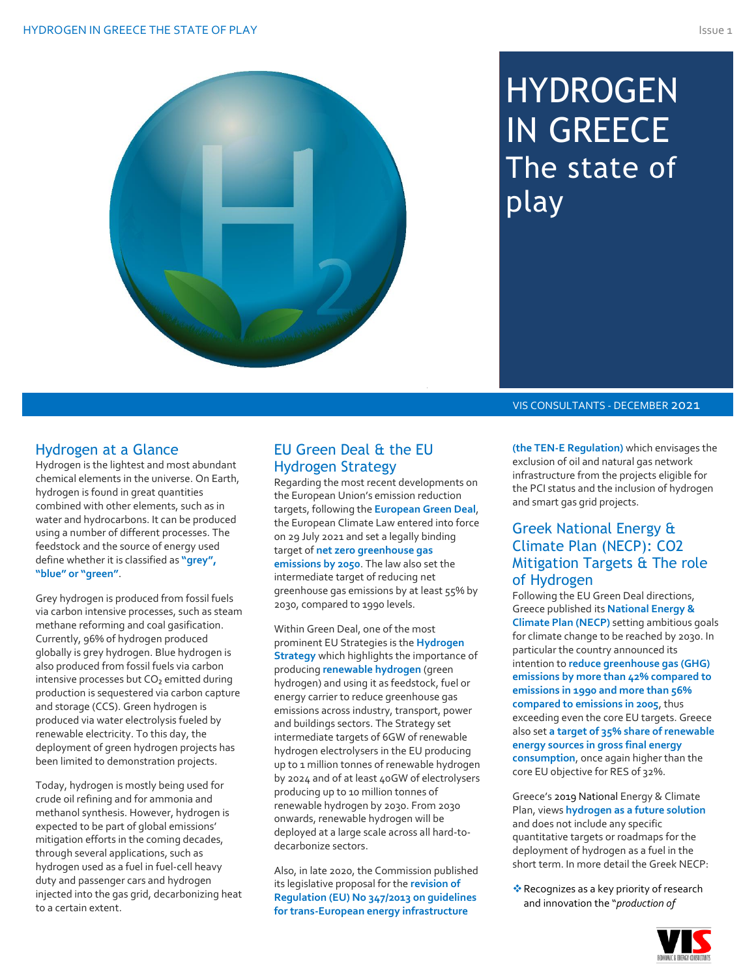# **HYDROGEN** IN GREECE The state of play

VIS CONSULTANTS - DECEMBER 2021

## Hydrogen at a Glance

Hydrogen is the lightest and most abundant chemical elements in the universe. On Earth, hydrogen is found in great quantities combined with other elements, such as in water and hydrocarbons. It can be produced using a number of different processes. The feedstock and the source of energy used define whether it is classified as **"grey", "blue" or "green"**.

Grey hydrogen is produced from fossil fuels via carbon intensive processes, such as steam methane reforming and coal gasification. Currently, 96% of hydrogen produced globally is grey hydrogen. Blue hydrogen is also produced from fossil fuels via carbon intensive processes but CO₂ emitted during production is sequestered via carbon capture and storage (CCS). Green hydrogen is produced via water electrolysis fueled by renewable electricity. To this day, the deployment of green hydrogen projects has been limited to demonstration projects.

Today, hydrogen is mostly being used for crude oil refining and for ammonia and methanol synthesis. However, hydrogen is expected to be part of global emissions' mitigation efforts in the coming decades, through several applications, such as hydrogen used as a fuel in fuel-cell heavy duty and passenger cars and hydrogen injected into the gas grid, decarbonizing heat to a certain extent.

## EU Green Deal & the EU Hydrogen Strategy

Regarding the most recent developments on the European Union's emission reduction targets, following the **European Green Deal**, the European Climate Law entered into force on 29 July 2021 and set a legally binding target of **net zero greenhouse gas emissions by 2050**. The law also set the intermediate target of reducing net greenhouse gas emissions by at least 55% by 2030, compared to 1990 levels.

Within Green Deal, one of the most prominent EU Strategies is the **Hydrogen Strategy** which highlights the importance of producing **renewable hydrogen** (green hydrogen) and using it as feedstock, fuel or energy carrier to reduce greenhouse gas emissions across industry, transport, power and buildings sectors. The Strategy set intermediate targets of 6GW of renewable hydrogen electrolysers in the EU producing up to 1 million tonnes of renewable hydrogen by 2024 and of at least 40GW of electrolysers producing up to 10 million tonnes of renewable hydrogen by 2030. From 2030 onwards, renewable hydrogen will be deployed at a large scale across all hard-todecarbonize sectors.

Also, in late 2020, the Commission published its legislative proposal for the **revision of Regulation (EU) No 347/2013 on guidelines for trans-European energy infrastructure** 

**(the TEN-E Regulation)** which envisages the exclusion of oil and natural gas network infrastructure from the projects eligible for the PCI status and the inclusion of hydrogen and smart gas grid projects.

## Greek National Energy & Climate Plan (NECP): CO2 Mitigation Targets & The role of Hydrogen

Following the EU Green Deal directions, Greece published its **National Energy & Climate Plan (NECP)** setting ambitious goals for climate change to be reached by 2030. In particular the country announced its intention to **reduce greenhouse gas (GHG) emissions by more than 42% compared to emissions in 1990 and more than 56% compared to emissions in 2005**, thus exceeding even the core EU targets. Greece also set **a target of 35% share of renewable energy sources in gross final energy consumption**, once again higher than the core EU objective for RES of 32%.

Greece's 2019 National Energy & Climate Plan, views **hydrogen as a future solution** and does not include any specific quantitative targets or roadmaps for the deployment of hydrogen as a fuel in the short term. In more detail the Greek NECP:

❖Recognizes as a key priority of research and innovation the "*production of* 

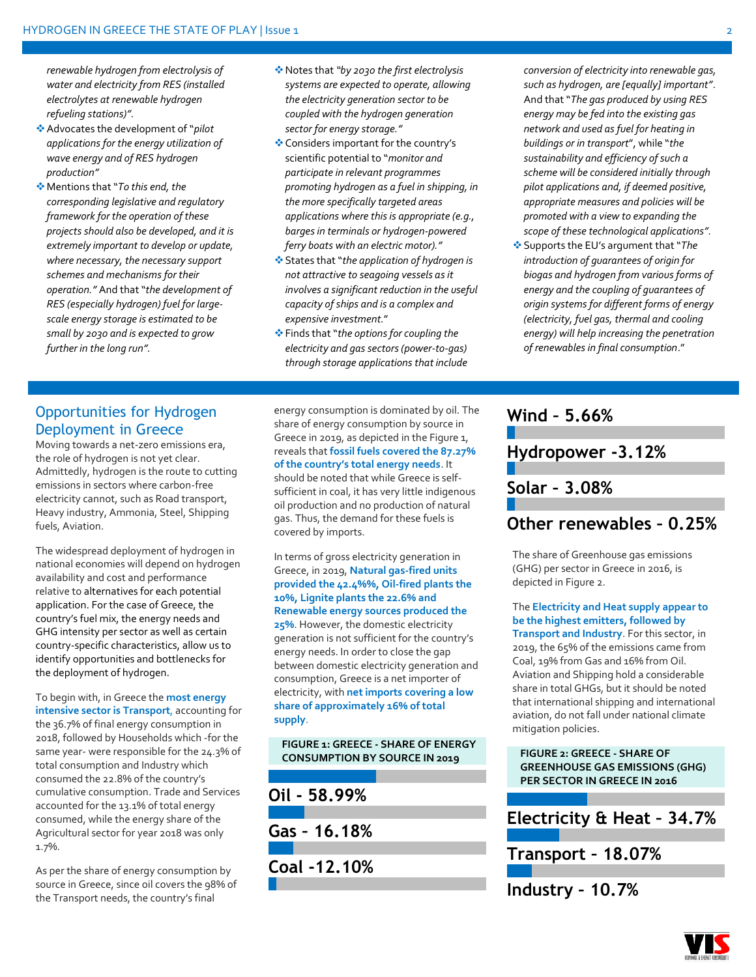*renewable hydrogen from electrolysis of water and electricity from RES (installed electrolytes at renewable hydrogen refueling stations)".*

- ❖Advocates the development of "*pilot applications for the energy utilization of wave energy and of RES hydrogen production"*
- ❖Mentions that "*To this end, the corresponding legislative and regulatory framework for the operation of these projects should also be developed, and it is extremely important to develop or update, where necessary, the necessary support schemes and mechanisms for their operation."* And that "*the development of RES (especially hydrogen) fuel for largescale energy storage is estimated to be small by 2030 and is expected to grow further in the long run".*
- ❖Notes that *"by 2030 the first electrolysis systems are expected to operate, allowing the electricity generation sector to be coupled with the hydrogen generation sector for energy storage."*
- ❖Considers important for the country's scientific potential to "*monitor and participate in relevant programmes promoting hydrogen as a fuel in shipping, in the more specifically targeted areas applications where this is appropriate (e.g., barges in terminals or hydrogen-powered ferry boats with an electric motor)."*
- ❖States that "*the application of hydrogen is not attractive to seagoing vessels as it involves a significant reduction in the useful capacity of ships and is a complex and expensive investment.*"
- ❖Finds that "*the options for coupling the electricity and gas sectors (power-to-gas) through storage applications that include*

*conversion of electricity into renewable gas, such as hydrogen, are [equally] important"*. And that "*The gas produced by using RES energy may be fed into the existing gas network and used as fuel for heating in buildings or in transport*", while "*the sustainability and efficiency of such a scheme will be considered initially through pilot applications and, if deemed positive, appropriate measures and policies will be promoted with a view to expanding the scope of these technological applications".*

❖Supports the EU's argument that "*The introduction of guarantees of origin for biogas and hydrogen from various forms of energy and the coupling of guarantees of origin systems for different forms of energy (electricity, fuel gas, thermal and cooling energy) will help increasing the penetration of renewables in final consumption*."

## Opportunities for Hydrogen Deployment in Greece

Moving towards a net-zero emissions era, the role of hydrogen is not yet clear. Admittedly, hydrogen is the route to cutting emissions in sectors where carbon-free electricity cannot, such as Road transport, Heavy industry, Ammonia, Steel, Shipping fuels, Aviation.

The widespread deployment of hydrogen in national economies will depend on hydrogen availability and cost and performance relative to alternatives for each potential application. For the case of Greece, the country's fuel mix, the energy needs and GHG intensity per sector as well as certain country-specific characteristics, allow us to identify opportunities and bottlenecks for the deployment of hydrogen.

To begin with, in Greece the **most energy intensive sector is Transport**, accounting for the 36.7% of final energy consumption in 2018, followed by Households which -for the same year- were responsible for the 24.3% of total consumption and Industry which consumed the 22.8% of the country's cumulative consumption. Trade and Services accounted for the 13.1% of total energy consumed, while the energy share of the Agricultural sector for year 2018 was only 1.7%.

As per the share of energy consumption by source in Greece, since oil covers the 98% of the Transport needs, the country's final

energy consumption is dominated by oil. The share of energy consumption by source in Greece in 2019, as depicted in the Figure 1, reveals that **fossil fuels covered the 87.27% of the country's total energy needs**. It should be noted that while Greece is selfsufficient in coal, it has very little indigenous oil production and no production of natural gas. Thus, the demand for these fuels is covered by imports.

In terms of gross electricity generation in Greece, in 2019, **Natural gas-fired units provided the 42.4%%, Oil-fired plants the 10%, Lignite plants the 22.6% and Renewable energy sources produced the 25%**. However, the domestic electricity generation is not sufficient for the country's energy needs. In order to close the gap between domestic electricity generation and consumption, Greece is a net importer of electricity, with **net imports covering a low share of approximately 16% of total supply**.

**FIGURE 1: GREECE - SHARE OF ENERGY CONSUMPTION BY SOURCE IN 2019**

**Oil - 58.99% Gas – 16.18% Coal -12.10%**

## **Wind – 5.66%**

**Hydropower -3.12%**

**Solar – 3.08%**

## **Other renewables – 0.25%**

The share of Greenhouse gas emissions (GHG) per sector in Greece in 2016, is depicted in Figure 2.

The **Electricity and Heat supply appear to be the highest emitters, followed by Transport and Industry**. For this sector, in 2019, the 65% of the emissions came from Coal, 19% from Gas and 16% from Oil. Aviation and Shipping hold a considerable share in total GHGs, but it should be noted that international shipping and international aviation, do not fall under national climate mitigation policies.

**FIGURE 2: GREECE - SHARE OF GREENHOUSE GAS EMISSIONS (GHG) PER SECTOR IN GREECE IN 2016**

**Electricity & Heat – 34.7%**

**Transport – 18.07%**

**Industry – 10.7%**

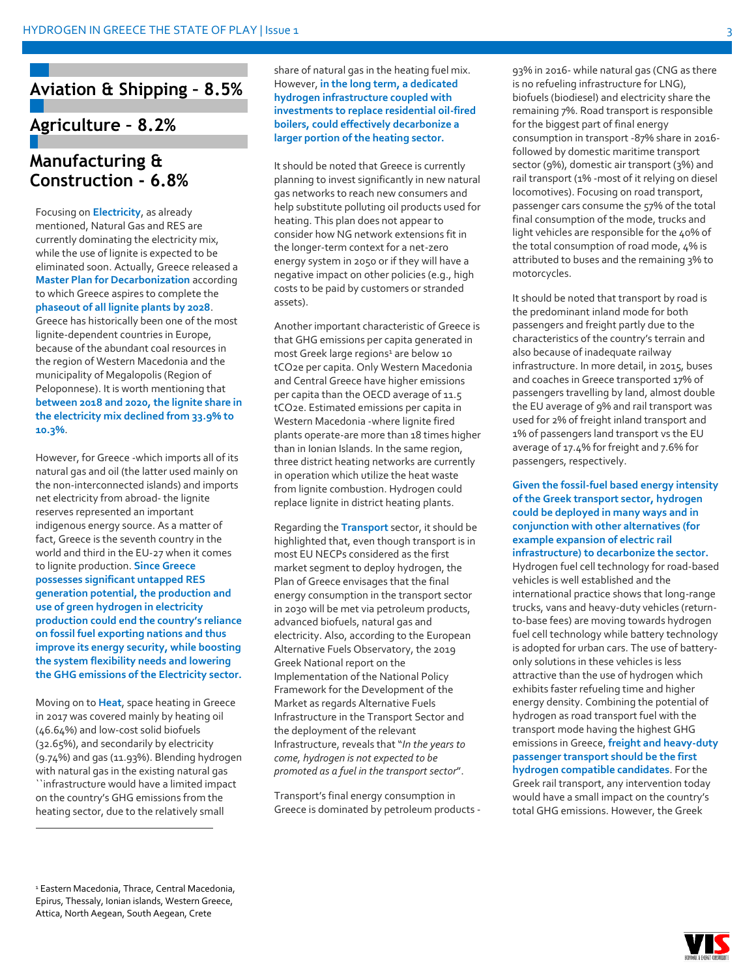## **Aviation & Shipping – 8.5%**

## **Agriculture – 8.2%**

## **Manufacturing & Construction - 6.8%**

Focusing on **Electricity**, as already mentioned, Natural Gas and RES are currently dominating the electricity mix, while the use of lignite is expected to be eliminated soon. Actually, Greece released a **Master Plan for Decarbonization** according to which Greece aspires to complete the **phaseout of all lignite plants by 2028**. Greece has historically been one of the most lignite-dependent countries in Europe, because of the abundant coal resources in the region of Western Macedonia and the municipality of Megalopolis (Region of Peloponnese). It is worth mentioning that **between 2018 and 2020, the lignite share in the electricity mix declined from 33.9% to 10.3%**.

However, for Greece -which imports all of its natural gas and oil (the latter used mainly on the non-interconnected islands) and imports net electricity from abroad- the lignite reserves represented an important indigenous energy source. As a matter of fact, Greece is the seventh country in the world and third in the EU-27 when it comes to lignite production. **Since Greece possesses significant untapped RES generation potential, the production and use of green hydrogen in electricity production could end the country's reliance on fossil fuel exporting nations and thus improve its energy security, while boosting the system flexibility needs and lowering the GHG emissions of the Electricity sector.**

Moving on to **Heat**, space heating in Greece in 2017 was covered mainly by heating oil (46.64%) and low-cost solid biofuels (32.65%), and secondarily by electricity (9.74%) and gas (11.93%). Blending hydrogen with natural gas in the existing natural gas ``infrastructure would have a limited impact on the country's GHG emissions from the heating sector, due to the relatively small

share of natural gas in the heating fuel mix. However, **in the long term, a dedicated hydrogen infrastructure coupled with investments to replace residential oil-fired boilers, could effectively decarbonize a larger portion of the heating sector.**

It should be noted that Greece is currently planning to invest significantly in new natural gas networks to reach new consumers and help substitute polluting oil products used for heating. This plan does not appear to consider how NG network extensions fit in the longer-term context for a net-zero energy system in 2050 or if they will have a negative impact on other policies (e.g., high costs to be paid by customers or stranded assets).

Another important characteristic of Greece is that GHG emissions per capita generated in most Greek large regions<sup>1</sup> are below 10 tCO2e per capita. Only Western Macedonia and Central Greece have higher emissions per capita than the OECD average of 11.5 tCO2e. Estimated emissions per capita in Western Macedonia -where lignite fired plants operate-are more than 18 times higher than in Ionian Islands. In the same region, three district heating networks are currently in operation which utilize the heat waste from lignite combustion. Hydrogen could replace lignite in district heating plants.

Regarding the **Transport** sector, it should be highlighted that, even though transport is in most EU NECPs considered as the first market segment to deploy hydrogen, the Plan of Greece envisages that the final energy consumption in the transport sector in 2030 will be met via petroleum products, advanced biofuels, natural gas and electricity. Also, according to the European Alternative Fuels Observatory, the 2019 Greek National report on the Implementation of the National Policy Framework for the Development of the Market as regards Alternative Fuels Infrastructure in the Transport Sector and the deployment of the relevant Infrastructure, reveals that "*In the years to come, hydrogen is not expected to be promoted as a fuel in the transport sector*".

Transport's final energy consumption in Greece is dominated by petroleum products -

93% in 2016- while natural gas (CNG as there is no refueling infrastructure for LNG), biofuels (biodiesel) and electricity share the remaining 7%. Road transport is responsible for the biggest part of final energy consumption in transport -87% share in 2016 followed by domestic maritime transport sector (9%), domestic air transport (3%) and rail transport (1% -most of it relying on diesel locomotives). Focusing on road transport, passenger cars consume the 57% of the total final consumption of the mode, trucks and light vehicles are responsible for the 40% of the total consumption of road mode, 4% is attributed to buses and the remaining 3% to motorcycles.

It should be noted that transport by road is the predominant inland mode for both passengers and freight partly due to the characteristics of the country's terrain and also because of inadequate railway infrastructure. In more detail, in 2015, buses and coaches in Greece transported 17% of passengers travelling by land, almost double the EU average of 9% and rail transport was used for 2% of freight inland transport and 1% of passengers land transport vs the EU average of 17.4% for freight and 7.6% for passengers, respectively.

**Given the fossil-fuel based energy intensity of the Greek transport sector, hydrogen could be deployed in many ways and in conjunction with other alternatives (for example expansion of electric rail infrastructure) to decarbonize the sector.**

Hydrogen fuel cell technology for road-based vehicles is well established and the international practice shows that long-range trucks, vans and heavy-duty vehicles (returnto-base fees) are moving towards hydrogen fuel cell technology while battery technology is adopted for urban cars. The use of batteryonly solutions in these vehicles is less attractive than the use of hydrogen which exhibits faster refueling time and higher energy density. Combining the potential of hydrogen as road transport fuel with the transport mode having the highest GHG emissions in Greece, **freight and heavy-duty passenger transport should be the first hydrogen compatible candidates**. For the Greek rail transport, any intervention today would have a small impact on the country's total GHG emissions. However, the Greek

<sup>1</sup> Eastern Macedonia, Thrace, Central Macedonia, Epirus, Thessaly, Ionian islands, Western Greece, Attica, North Aegean, South Aegean, Crete

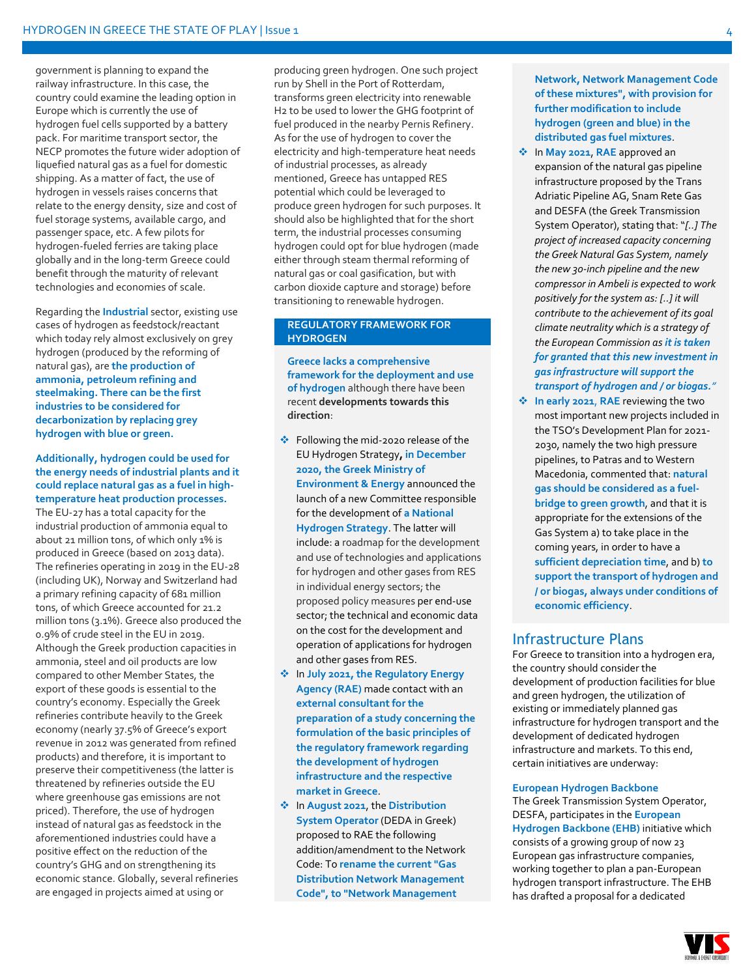government is planning to expand the railway infrastructure. In this case, the country could examine the leading option in Europe which is currently the use of hydrogen fuel cells supported by a battery pack. For maritime transport sector, the NECP promotes the future wider adoption of liquefied natural gas as a fuel for domestic shipping. As a matter of fact, the use of hydrogen in vessels raises concerns that relate to the energy density, size and cost of fuel storage systems, available cargo, and passenger space, etc. A few pilots for hydrogen-fueled ferries are taking place globally and in the long-term Greece could benefit through the maturity of relevant technologies and economies of scale.

Regarding the **Industrial** sector, existing use cases of hydrogen as feedstock/reactant which today rely almost exclusively on grey hydrogen (produced by the reforming of natural gas), are **the production of ammonia, petroleum refining and steelmaking. There can be the first industries to be considered for decarbonization by replacing grey hydrogen with blue or green.**

#### **Additionally, hydrogen could be used for the energy needs of industrial plants and it could replace natural gas as a fuel in hightemperature heat production processes.**

The EU-27 has a total capacity for the industrial production of ammonia equal to about 21 million tons, of which only 1% is produced in Greece (based on 2013 data). The refineries operating in 2019 in the EU-28 (including UK), Norway and Switzerland had a primary refining capacity of 681 million tons, of which Greece accounted for 21.2 million tons (3.1%). Greece also produced the 0.9% of crude steel in the EU in 2019. Although the Greek production capacities in ammonia, steel and oil products are low compared to other Member States, the export of these goods is essential to the country's economy. Especially the Greek refineries contribute heavily to the Greek economy (nearly 37.5% of Greece's export revenue in 2012 was generated from refined products) and therefore, it is important to preserve their competitiveness (the latter is threatened by refineries outside the EU where greenhouse gas emissions are not priced). Therefore, the use of hydrogen instead of natural gas as feedstock in the aforementioned industries could have a positive effect on the reduction of the country's GHG and on strengthening its economic stance. Globally, several refineries are engaged in projects aimed at using or

producing green hydrogen. One such project run by Shell in the Port of Rotterdam, transforms green electricity into renewable H2 to be used to lower the GHG footprint of fuel produced in the nearby Pernis Refinery. As for the use of hydrogen to cover the electricity and high-temperature heat needs of industrial processes, as already mentioned, Greece has untapped RES potential which could be leveraged to produce green hydrogen for such purposes. It should also be highlighted that for the short term, the industrial processes consuming hydrogen could opt for blue hydrogen (made either through steam thermal reforming of natural gas or coal gasification, but with carbon dioxide capture and storage) before transitioning to renewable hydrogen.

#### **REGULATORY FRAMEWORK FOR HYDROGEN**

**Greece lacks a comprehensive framework for the deployment and use of hydrogen** although there have been recent **developments towards this direction**:

- ❖ Following the mid-2020 release of the EU Hydrogen Strategy**, in December 2020, the Greek Ministry of Environment & Energy** announced the launch of a new Committee responsible for the development of **a National Hydrogen Strategy**. The latter will include: a roadmap for the development and use of technologies and applications for hydrogen and other gases from RES in individual energy sectors; the proposed policy measures per end-use sector; the technical and economic data on the cost for the development and operation of applications for hydrogen and other gases from RES.
- ❖ In **July 2021, the Regulatory Energy Agency (RAE)** made contact with an **external consultant for the preparation of a study concerning the formulation of the basic principles of the regulatory framework regarding the development of hydrogen infrastructure and the respective market in Greece**.
- ❖ In **August 2021**, the **Distribution System Operator** (DEDA in Greek) proposed to RAE the following addition/amendment to the Network Code: To **rename the current "Gas Distribution Network Management Code", to "Network Management**

**Network, Network Management Code of these mixtures", with provision for further modification to include hydrogen (green and blue) in the distributed gas fuel mixtures**.

- ❖ In **May 2021**, **RAE** approved an expansion of the natural gas pipeline infrastructure proposed by the Trans Adriatic Pipeline AG, Snam Rete Gas and DESFA (the Greek Transmission System Operator), stating that: "*[..] The project of increased capacity concerning the Greek Natural Gas System, namely the new 30-inch pipeline and the new compressor in Ambeli is expected to work positively for the system as: [..] it will contribute to the achievement of its goal climate neutrality which is a strategy of the European Commission as it is taken for granted that this new investment in gas infrastructure will support the transport of hydrogen and / or biogas."*
- ❖ **In early 2021**, **RAE** reviewing the two most important new projects included in the TSO's Development Plan for 2021- 2030, namely the two high pressure pipelines, to Patras and to Western Macedonia, commented that: **natural gas should be considered as a fuelbridge to green growth**, and that it is appropriate for the extensions of the Gas System a) to take place in the coming years, in order to have a **sufficient depreciation time**, and b) **to support the transport of hydrogen and / or biogas, always under conditions of economic efficiency**.

#### Infrastructure Plans

For Greece to transition into a hydrogen era, the country should consider the development of production facilities for blue and green hydrogen, the utilization of existing or immediately planned gas infrastructure for hydrogen transport and the development of dedicated hydrogen infrastructure and markets. To this end, certain initiatives are underway:

#### **European Hydrogen Backbone**

The Greek Transmission System Operator, DESFA, participates in the **European Hydrogen Backbone (EHB)** initiative which consists of a growing group of now 23 European gas infrastructure companies, working together to plan a pan-European hydrogen transport infrastructure. The EHB has drafted a proposal for a dedicated

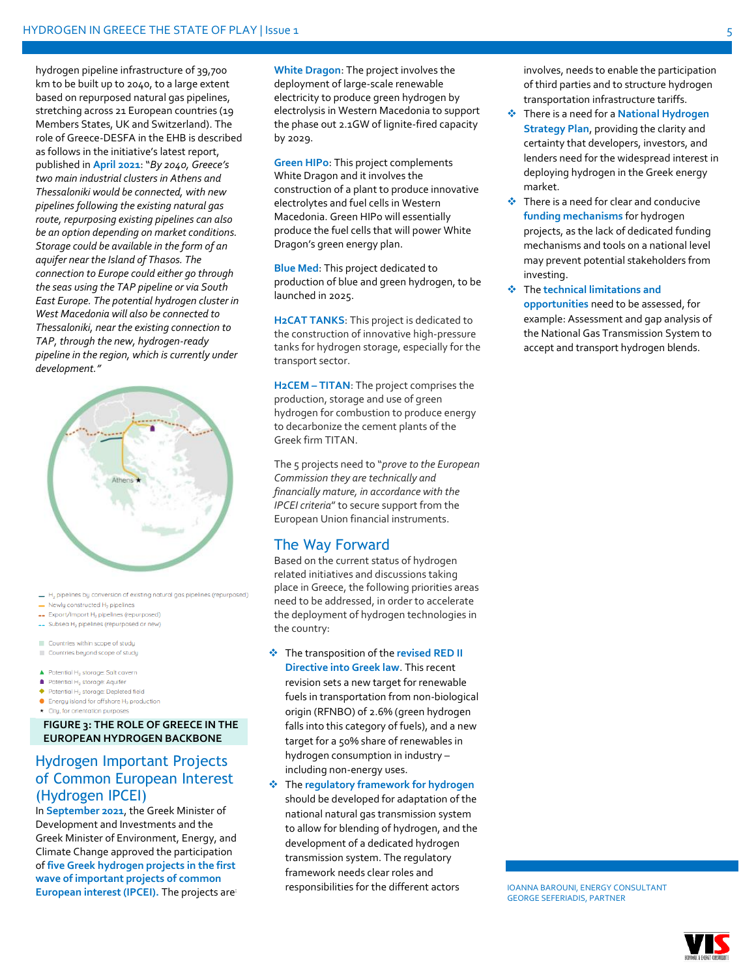hydrogen pipeline infrastructure of 39,700 km to be built up to 2040, to a large extent based on repurposed natural gas pipelines, stretching across 21 European countries (19 Members States, UK and Switzerland). The role of Greece-DESFA in the EHB is described as follows in the initiative's latest report, published in **April 2021**: "*By 2040, Greece's two main industrial clusters in Athens and Thessaloniki would be connected, with new pipelines following the existing natural gas route, repurposing existing pipelines can also be an option depending on market conditions. Storage could be available in the form of an aquifer near the Island of Thasos. The connection to Europe could either go through the seas using the TAP pipeline or via South East Europe. The potential hydrogen cluster in West Macedonia will also be connected to Thessaloniki, near the existing connection to TAP, through the new, hydrogen-ready pipeline in the region, which is currently under development."*



- H. pipelines by conversion of existing natural gas pipelines (repurposed)
- $\blacksquare$  Newly constructed  $H_2$  pipelines
- -- Export/Import H<sub>2</sub> pipelines (repurposed)
- Subseq H<sub>2</sub> pipelines (repurposed or new)
- Countries within scope of studu Countries beyond scope of study
- 
- ▲ Potential H<sub>2</sub> storage: Salt cavern Potential H<sub>2</sub> storage: Aquifer
- 
- $\blacklozenge$  Potential H<sub>2</sub> storage: Depleted field
- $\bullet$  Energy island for offshore  $H_2$  production \* City, for orientation purposes

#### **FIGURE 3: THE ROLE OF GREECE IN THE EUROPEAN HYDROGEN BACKBONE**

### Hydrogen Important Projects of Common European Interest (Hydrogen IPCEI)

In **September 2021**, the Greek Minister of Development and Investments and the Greek Minister of Environment, Energy, and Climate Change approved the participation of **five Greek hydrogen projects in the first wave of important projects of common European interest (IPCEI).** The projects are:

**White Dragon**: The project involves the deployment of large-scale renewable electricity to produce green hydrogen by electrolysis in Western Macedonia to support the phase out 2.1GW of lignite-fired capacity by 2029.

**Green HIPo**: This project complements White Dragon and it involves the construction of a plant to produce innovative electrolytes and fuel cells in Western Macedonia. Green HIPo will essentially produce the fuel cells that will power White Dragon's green energy plan.

**Blue Med**: This project dedicated to production of blue and green hydrogen, to be launched in 2025.

**H2CAT TANKS**: This project is dedicated to the construction of innovative high-pressure tanks for hydrogen storage, especially for the transport sector.

**H2CEM – TITAN**: The project comprises the production, storage and use of green hydrogen for combustion to produce energy to decarbonize the cement plants of the Greek firm TITAN.

The 5 projects need to "*prove to the European Commission they are technically and financially mature, in accordance with the IPCEI criteria*" to secure support from the European Union financial instruments.

#### The Way Forward

Based on the current status of hydrogen related initiatives and discussions taking place in Greece, the following priorities areas need to be addressed, in order to accelerate the deployment of hydrogen technologies in the country:

#### ❖ The transposition of the **revised RED II**

**Directive into Greek law**. This recent revision sets a new target for renewable fuels in transportation from non-biological origin (RFNBO) of 2.6% (green hydrogen falls into this category of fuels), and a new target for a 50% share of renewables in hydrogen consumption in industry – including non-energy uses.

❖ The **regulatory framework for hydrogen** should be developed for adaptation of the national natural gas transmission system to allow for blending of hydrogen, and the development of a dedicated hydrogen transmission system. The regulatory framework needs clear roles and responsibilities for the different actors

involves, needs to enable the participation of third parties and to structure hydrogen transportation infrastructure tariffs.

- ❖ There is a need for a **National Hydrogen Strategy Plan**, providing the clarity and certainty that developers, investors, and lenders need for the widespread interest in deploying hydrogen in the Greek energy market.
- ❖ There is a need for clear and conducive **funding mechanisms** for hydrogen projects, as the lack of dedicated funding mechanisms and tools on a national level may prevent potential stakeholders from investing.
- ❖ The **technical limitations and opportunities** need to be assessed, for example: Assessment and gap analysis of the National Gas Transmission System to accept and transport hydrogen blends.

IOANNA BAROUNI, ENERGY CONSULTANT GEORGE SEFERIADIS, PARTNER